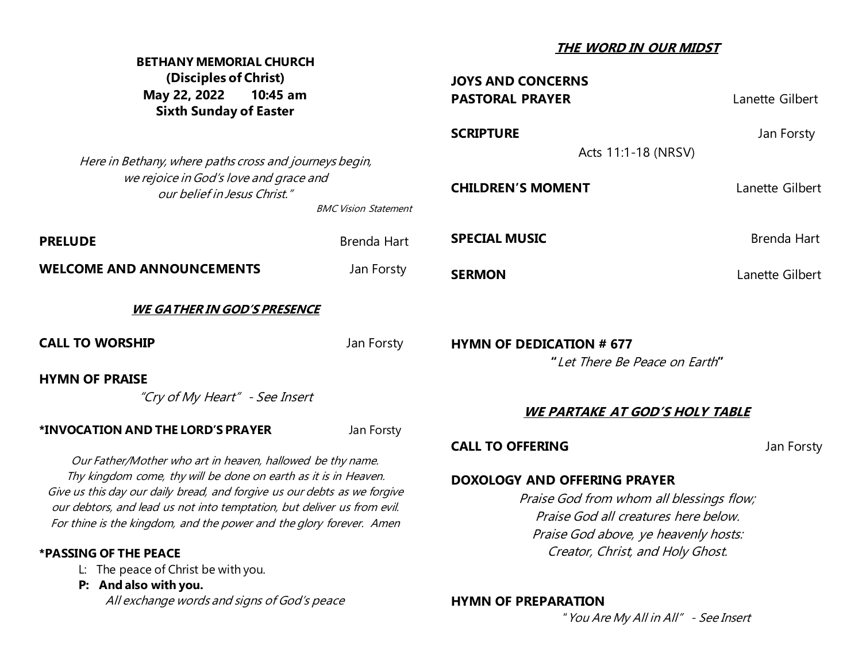| <b>BETHANY MEMORIAL CHURCH</b><br>(Disciples of Christ)<br>May 22, 2022<br>10:45 am<br><b>Sixth Sunday of Easter</b>                                                                                                                                                                                                                                                                                                        |             | THE WORD IN OUR MIDST                                                                                                                                                                                                                        |                 |
|-----------------------------------------------------------------------------------------------------------------------------------------------------------------------------------------------------------------------------------------------------------------------------------------------------------------------------------------------------------------------------------------------------------------------------|-------------|----------------------------------------------------------------------------------------------------------------------------------------------------------------------------------------------------------------------------------------------|-----------------|
|                                                                                                                                                                                                                                                                                                                                                                                                                             |             | <b>JOYS AND CONCERNS</b><br><b>PASTORAL PRAYER</b>                                                                                                                                                                                           | Lanette Gilbert |
|                                                                                                                                                                                                                                                                                                                                                                                                                             |             | <b>SCRIPTURE</b>                                                                                                                                                                                                                             | Jan Forsty      |
| Here in Bethany, where paths cross and journeys begin,<br>we rejoice in God's love and grace and<br>our belief in Jesus Christ."<br><b>BMC Vision Statement</b>                                                                                                                                                                                                                                                             |             | Acts 11:1-18 (NRSV)                                                                                                                                                                                                                          |                 |
|                                                                                                                                                                                                                                                                                                                                                                                                                             |             | <b>CHILDREN'S MOMENT</b>                                                                                                                                                                                                                     | Lanette Gilbert |
| <b>PRELUDE</b>                                                                                                                                                                                                                                                                                                                                                                                                              | Brenda Hart | <b>SPECIAL MUSIC</b>                                                                                                                                                                                                                         | Brenda Hart     |
| <b>WELCOME AND ANNOUNCEMENTS</b>                                                                                                                                                                                                                                                                                                                                                                                            | Jan Forsty  | <b>SERMON</b>                                                                                                                                                                                                                                | Lanette Gilbert |
| <u>WE GATHER IN GOD'S PRESENCE</u>                                                                                                                                                                                                                                                                                                                                                                                          |             |                                                                                                                                                                                                                                              |                 |
| <b>CALL TO WORSHIP</b>                                                                                                                                                                                                                                                                                                                                                                                                      | Jan Forsty  | <b>HYMN OF DEDICATION # 677</b>                                                                                                                                                                                                              |                 |
| <b>HYMN OF PRAISE</b>                                                                                                                                                                                                                                                                                                                                                                                                       |             | "Let There Be Peace on Earth"                                                                                                                                                                                                                |                 |
| "Cry of My Heart" - See Insert                                                                                                                                                                                                                                                                                                                                                                                              |             |                                                                                                                                                                                                                                              |                 |
|                                                                                                                                                                                                                                                                                                                                                                                                                             |             | <u>WE PARTAKE AT GOD'S HOLY TABLE</u>                                                                                                                                                                                                        |                 |
| *INVOCATION AND THE LORD'S PRAYER                                                                                                                                                                                                                                                                                                                                                                                           | Jan Forsty  |                                                                                                                                                                                                                                              |                 |
| Our Father/Mother who art in heaven, hallowed be thy name.<br>Thy kingdom come, thy will be done on earth as it is in Heaven.<br>Give us this day our daily bread, and forgive us our debts as we forgive<br>our debtors, and lead us not into temptation, but deliver us from evil.<br>For thine is the kingdom, and the power and the glory forever. Amen<br>*PASSING OF THE PEACE<br>L: The peace of Christ be with you. |             | <b>CALL TO OFFERING</b><br>Jan Forsty<br><b>DOXOLOGY AND OFFERING PRAYER</b><br>Praise God from whom all blessings flow;<br>Praise God all creatures here below.<br>Praise God above, ye heavenly hosts:<br>Creator, Christ, and Holy Ghost. |                 |
| P: And also with you.                                                                                                                                                                                                                                                                                                                                                                                                       |             |                                                                                                                                                                                                                                              |                 |
| All exchange words and signs of God's peace                                                                                                                                                                                                                                                                                                                                                                                 |             | <b>HYMN OF PREPARATION</b>                                                                                                                                                                                                                   |                 |

"You Are My All in All" - See Insert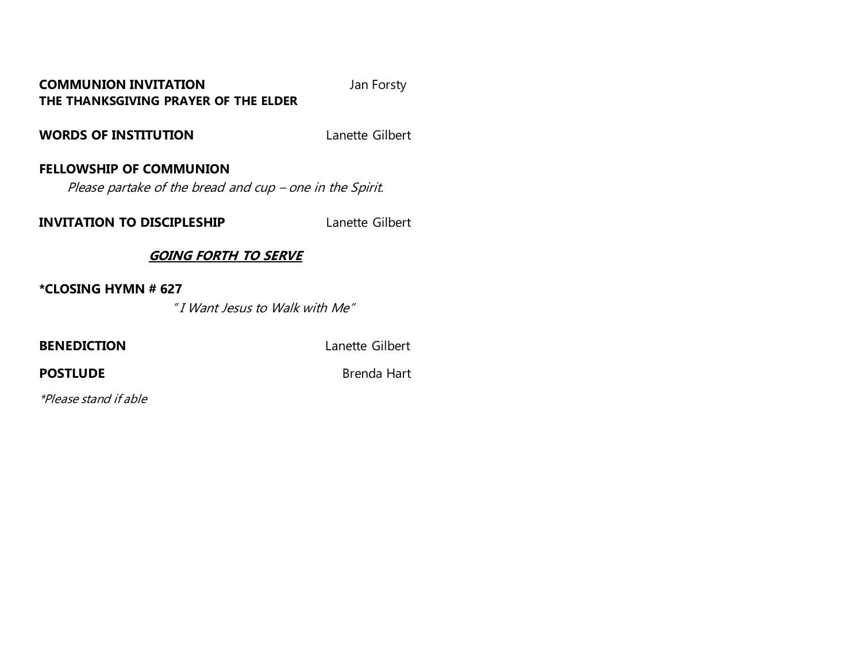## **COMMUNION INVITATION** Jan Forsty **THE THANKSGIVING PRAYER OF THE ELDER**

**WORDS OF INSTITUTION** Lanette Gilbert

# **FELLOWSHIP OF COMMUNION**

Please partake of the bread and cup – one in the Spirit.

**INVITATION TO DISCIPLESHIP** Lanette Gilbert

# **GOING FORTH TO SERVE**

**\*CLOSING HYMN # 627**

" I Want Jesus to Walk with Me"

**BENEDICTION** Lanette Gilbert

**POSTLUDE** Brenda Hart

\*Please stand if able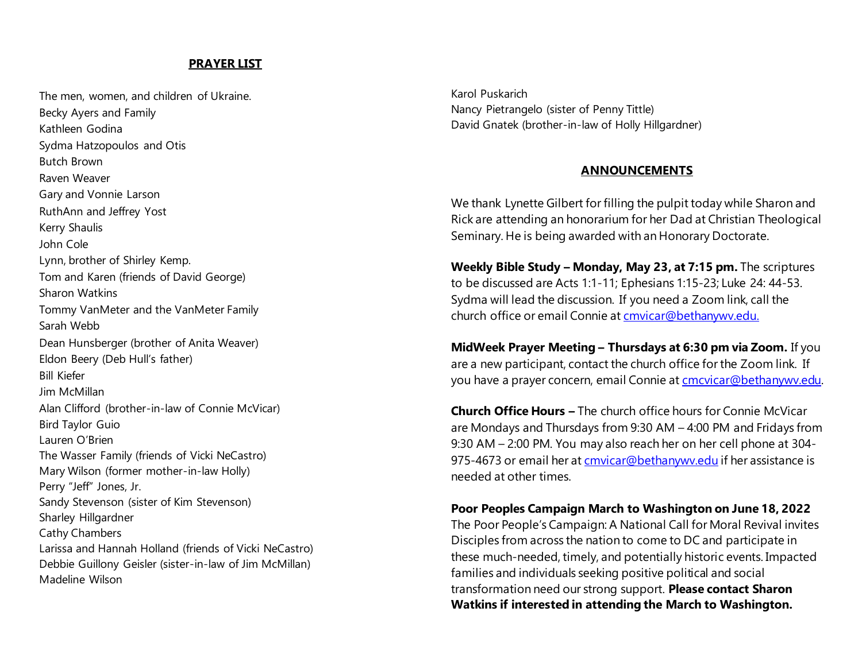#### **PRAYER LIST**

The men, women, and children of Ukraine. Becky Ayers and Family Kathleen Godina Sydma Hatzopoulos and Otis Butch Brown Raven Weaver Gary and Vonnie Larson RuthAnn and Jeffrey Yost Kerry Shaulis John Cole Lynn, brother of Shirley Kemp. Tom and Karen (friends of David George) Sharon Watkins Tommy VanMeter and the VanMeter Family Sarah Webb Dean Hunsberger (brother of Anita Weaver) Eldon Beery (Deb Hull's father) Bill Kiefer Jim McMillan Alan Clifford (brother-in-law of Connie McVicar) Bird Taylor Guio Lauren O'Brien The Wasser Family (friends of Vicki NeCastro) Mary Wilson (former mother-in-law Holly) Perry "Jeff" Jones, Jr. Sandy Stevenson (sister of Kim Stevenson) Sharley Hillgardner Cathy Chambers Larissa and Hannah Holland (friends of Vicki NeCastro) Debbie Guillony Geisler (sister-in-law of Jim McMillan) Madeline Wilson

Karol Puskarich Nancy Pietrangelo (sister of Penny Tittle) David Gnatek (brother-in-law of Holly Hillgardner)

#### **ANNOUNCEMENTS**

We thank Lynette Gilbert for filling the pulpit today while Sharon and Rick are attending an honorarium for her Dad at Christian Theological Seminary. He is being awarded with an Honorary Doctorate.

**Weekly Bible Study – Monday, May 23, at 7:15 pm.** The scriptures to be discussed are Acts 1:1-11; Ephesians 1:15-23; Luke 24: 44-53. Sydma will lead the discussion. If you need a Zoom link, call the church office or email Connie a[t cmvicar@bethanywv.edu.](about:blank)

**MidWeek Prayer Meeting – Thursdays at 6:30 pm via Zoom.** If you are a new participant, contact the church office for the Zoom link. If you have a prayer concern, email Connie a[t cmcvicar@bethanywv.edu](about:blank).

**Church Office Hours –** The church office hours for Connie McVicar are Mondays and Thursdays from 9:30 AM – 4:00 PM and Fridays from 9:30 AM – 2:00 PM. You may also reach her on her cell phone at 304 975-4673 or email her a[t cmvicar@bethanywv.edu](mailto:cmvicar@bethanywv.edu) if her assistance is needed at other times.

**Poor Peoples Campaign March to Washington on June 18, 2022** 

The Poor People's Campaign: A National Call for Moral Revival invites Disciples from across the nation to come to DC and participate in these much-needed, timely, and potentially historic events. Impacted families and individuals seeking positive political and social transformation need our strong support. **Please contact Sharon Watkins if interested in attending the March to Washington.**